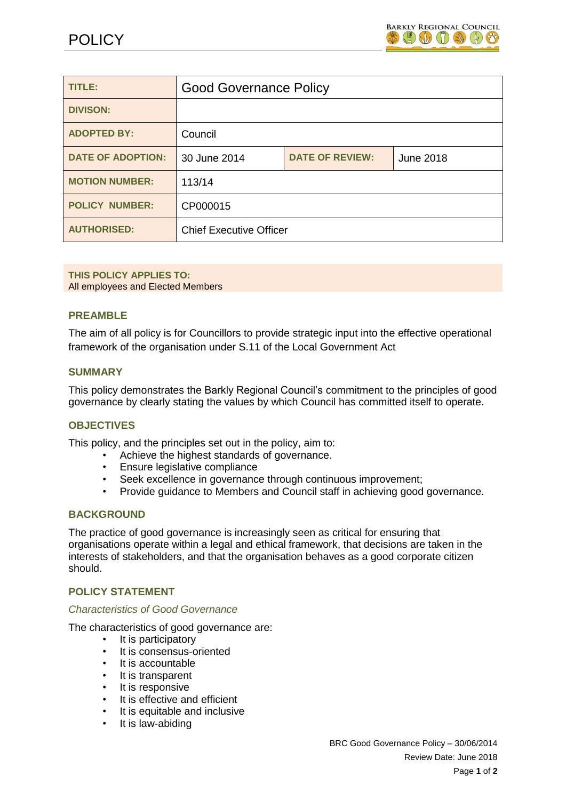

| <b>TITLE:</b>            | <b>Good Governance Policy</b>  |                        |           |
|--------------------------|--------------------------------|------------------------|-----------|
| <b>DIVISON:</b>          |                                |                        |           |
| <b>ADOPTED BY:</b>       | Council                        |                        |           |
| <b>DATE OF ADOPTION:</b> | 30 June 2014                   | <b>DATE OF REVIEW:</b> | June 2018 |
| <b>MOTION NUMBER:</b>    | 113/14                         |                        |           |
| <b>POLICY NUMBER:</b>    | CP000015                       |                        |           |
| <b>AUTHORISED:</b>       | <b>Chief Executive Officer</b> |                        |           |

#### **THIS POLICY APPLIES TO:**

All employees and Elected Members

#### **PREAMBLE**

The aim of all policy is for Councillors to provide strategic input into the effective operational framework of the organisation under S.11 of the Local Government Act

#### **SUMMARY**

This policy demonstrates the Barkly Regional Council's commitment to the principles of good governance by clearly stating the values by which Council has committed itself to operate.

#### **OBJECTIVES**

This policy, and the principles set out in the policy, aim to:

- Achieve the highest standards of governance.
- Ensure legislative compliance
- Seek excellence in governance through continuous improvement;
- Provide guidance to Members and Council staff in achieving good governance.

#### **BACKGROUND**

The practice of good governance is increasingly seen as critical for ensuring that organisations operate within a legal and ethical framework, that decisions are taken in the interests of stakeholders, and that the organisation behaves as a good corporate citizen should.

# **POLICY STATEMENT**

#### *Characteristics of Good Governance*

The characteristics of good governance are:

- It is participatory
- It is consensus-oriented
- It is accountable
- It is transparent
- It is responsive
- It is effective and efficient
- It is equitable and inclusive
- It is law-abiding